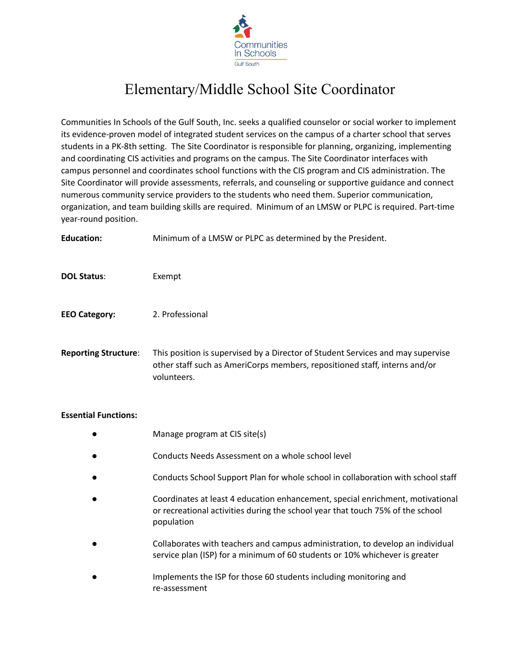

## Elementary/Middle School Site Coordinator

Communities In Schools of the Gulf South, Inc. seeks a qualified counselor or social worker to implement its evidence-proven model of integrated student services on the campus of a charter school that serves students in a PK-8th setting. The Site Coordinator is responsible for planning, organizing, implementing and coordinating CIS activities and programs on the campus. The Site Coordinator interfaces with campus personnel and coordinates school functions with the CIS program and CIS administration. The Site Coordinator will provide assessments, referrals, and counseling or supportive guidance and connect numerous community service providers to the students who need them. Superior communication, organization, and team building skills are required. Minimum of an LMSW or PLPC is required. Part-time year-round position.

**Education:** Minimum of a LMSW or PLPC as determined by the President.

- **DOL Status**: Exempt
- **EEO Category:** 2. Professional

**Reporting Structure**: This position is supervised by a Director of Student Services and may supervise other staff such as AmeriCorps members, repositioned staff, interns and/or volunteers.

## **Essential Functions:**

- Manage program at CIS site(s)
- Conducts Needs Assessment on a whole school level
- Conducts School Support Plan for whole school in collaboration with school staff
- Coordinates at least 4 education enhancement, special enrichment, motivational or recreational activities during the school year that touch 75% of the school population
- Collaborates with teachers and campus administration, to develop an individual service plan (ISP) for a minimum of 60 students or 10% whichever is greater
- Implements the ISP for those 60 students including monitoring and re-assessment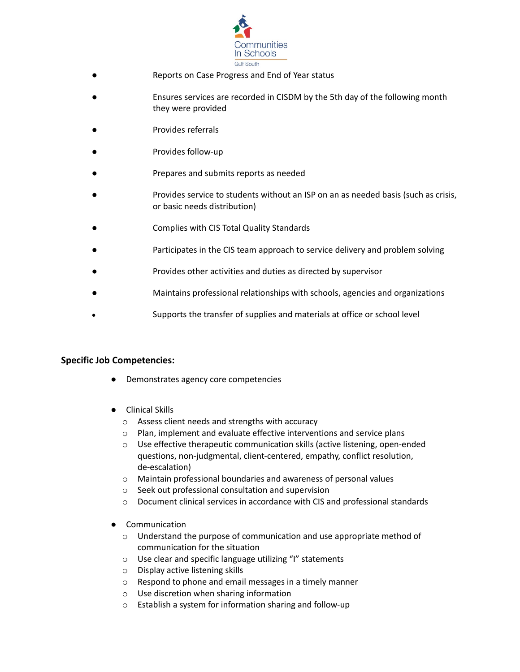

- Reports on Case Progress and End of Year status
- Ensures services are recorded in CISDM by the 5th day of the following month they were provided
- Provides referrals
- Provides follow-up
- Prepares and submits reports as needed
- Provides service to students without an ISP on an as needed basis (such as crisis, or basic needs distribution)
- Complies with CIS Total Quality Standards
- Participates in the CIS team approach to service delivery and problem solving
- Provides other activities and duties as directed by supervisor
- Maintains professional relationships with schools, agencies and organizations
- Supports the transfer of supplies and materials at office or school level

## **Specific Job Competencies:**

- Demonstrates agency core competencies
- Clinical Skills
	- o Assess client needs and strengths with accuracy
	- o Plan, implement and evaluate effective interventions and service plans
	- o Use effective therapeutic communication skills (active listening, open-ended questions, non-judgmental, client-centered, empathy, conflict resolution, de-escalation)
	- o Maintain professional boundaries and awareness of personal values
	- o Seek out professional consultation and supervision
	- o Document clinical services in accordance with CIS and professional standards
- **Communication** 
	- o Understand the purpose of communication and use appropriate method of communication for the situation
	- o Use clear and specific language utilizing "I" statements
	- o Display active listening skills
	- o Respond to phone and email messages in a timely manner
	- o Use discretion when sharing information
	- o Establish a system for information sharing and follow-up